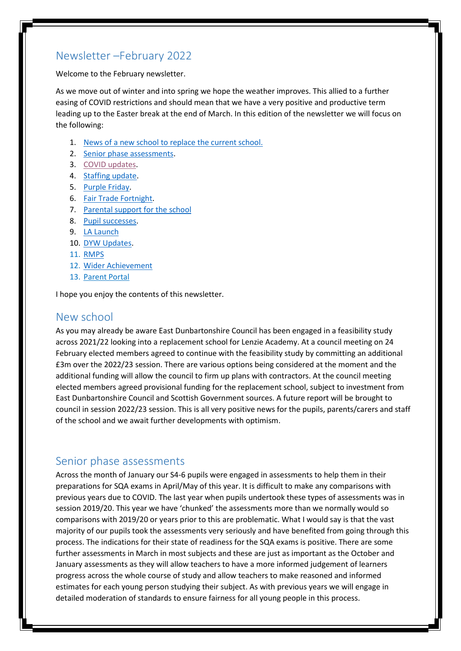## Newsletter –February 2022

Welcome to the February newsletter.

As we move out of winter and into spring we hope the weather improves. This allied to a further easing of COVID restrictions and should mean that we have a very positive and productive term leading up to the Easter break at the end of March. In this edition of the newsletter we will focus on the following:

- 1. [News of a new school to replace the current school.](#page-0-0)
- 2. [Senior phase assessments.](#page-0-1)
- 3. [COVID updates.](#page-1-0)
- 4. [Staffing update.](#page-1-1)
- 5. [Purple Friday.](#page-1-2)
- 6. [Fair Trade Fortnight.](#page-2-0)
- 7. [Parental support for the school](#page-2-1)
- 8. [Pupil successes.](#page-3-0)
- 9. [LA Launch](#page-5-0)
- 10. [DYW Updates.](#page-5-1)
- 11. [RMPS](#page-6-0)
- 12. [Wider Achievement](#page-7-0)
- 13. Parent Portal

I hope you enjoy the contents of this newsletter.

### <span id="page-0-0"></span>New school

As you may already be aware East Dunbartonshire Council has been engaged in a feasibility study across 2021/22 looking into a replacement school for Lenzie Academy. At a council meeting on 24 February elected members agreed to continue with the feasibility study by committing an additional £3m over the 2022/23 session. There are various options being considered at the moment and the additional funding will allow the council to firm up plans with contractors. At the council meeting elected members agreed provisional funding for the replacement school, subject to investment from East Dunbartonshire Council and Scottish Government sources. A future report will be brought to council in session 2022/23 session. This is all very positive news for the pupils, parents/carers and staff of the school and we await further developments with optimism.

### <span id="page-0-1"></span>Senior phase assessments

Across the month of January our S4-6 pupils were engaged in assessments to help them in their preparations for SQA exams in April/May of this year. It is difficult to make any comparisons with previous years due to COVID. The last year when pupils undertook these types of assessments was in session 2019/20. This year we have 'chunked' the assessments more than we normally would so comparisons with 2019/20 or years prior to this are problematic. What I would say is that the vast majority of our pupils took the assessments very seriously and have benefited from going through this process. The indications for their state of readiness for the SQA exams is positive. There are some further assessments in March in most subjects and these are just as important as the October and January assessments as they will allow teachers to have a more informed judgement of learners progress across the whole course of study and allow teachers to make reasoned and informed estimates for each young person studying their subject. As with previous years we will engage in detailed moderation of standards to ensure fairness for all young people in this process.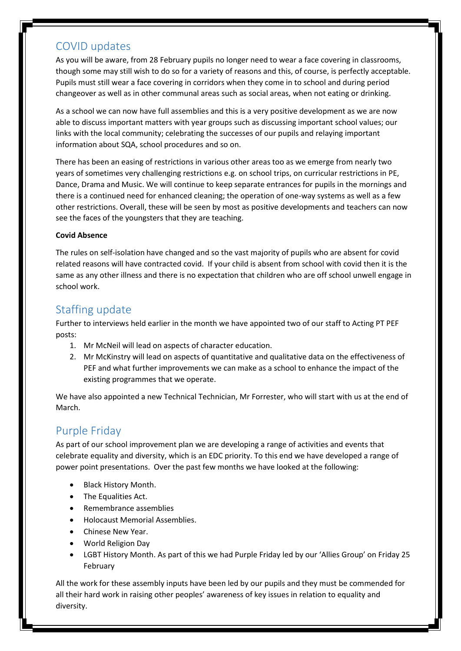# <span id="page-1-0"></span>COVID updates

As you will be aware, from 28 February pupils no longer need to wear a face covering in classrooms, though some may still wish to do so for a variety of reasons and this, of course, is perfectly acceptable. Pupils must still wear a face covering in corridors when they come in to school and during period changeover as well as in other communal areas such as social areas, when not eating or drinking.

As a school we can now have full assemblies and this is a very positive development as we are now able to discuss important matters with year groups such as discussing important school values; our links with the local community; celebrating the successes of our pupils and relaying important information about SQA, school procedures and so on.

There has been an easing of restrictions in various other areas too as we emerge from nearly two years of sometimes very challenging restrictions e.g. on school trips, on curricular restrictions in PE, Dance, Drama and Music. We will continue to keep separate entrances for pupils in the mornings and there is a continued need for enhanced cleaning; the operation of one-way systems as well as a few other restrictions. Overall, these will be seen by most as positive developments and teachers can now see the faces of the youngsters that they are teaching.

### **Covid Absence**

The rules on self-isolation have changed and so the vast majority of pupils who are absent for covid related reasons will have contracted covid. If your child is absent from school with covid then it is the same as any other illness and there is no expectation that children who are off school unwell engage in school work.

### <span id="page-1-1"></span>Staffing update

Further to interviews held earlier in the month we have appointed two of our staff to Acting PT PEF posts:

- 1. Mr McNeil will lead on aspects of character education.
- 2. Mr McKinstry will lead on aspects of quantitative and qualitative data on the effectiveness of PEF and what further improvements we can make as a school to enhance the impact of the existing programmes that we operate.

We have also appointed a new Technical Technician, Mr Forrester, who will start with us at the end of March.

## <span id="page-1-2"></span>Purple Friday

As part of our school improvement plan we are developing a range of activities and events that celebrate equality and diversity, which is an EDC priority. To this end we have developed a range of power point presentations. Over the past few months we have looked at the following:

- Black History Month.
- The Equalities Act.
- Remembrance assemblies
- Holocaust Memorial Assemblies.
- Chinese New Year.
- World Religion Day
- LGBT History Month. As part of this we had Purple Friday led by our 'Allies Group' on Friday 25 February

All the work for these assembly inputs have been led by our pupils and they must be commended for all their hard work in raising other peoples' awareness of key issues in relation to equality and diversity.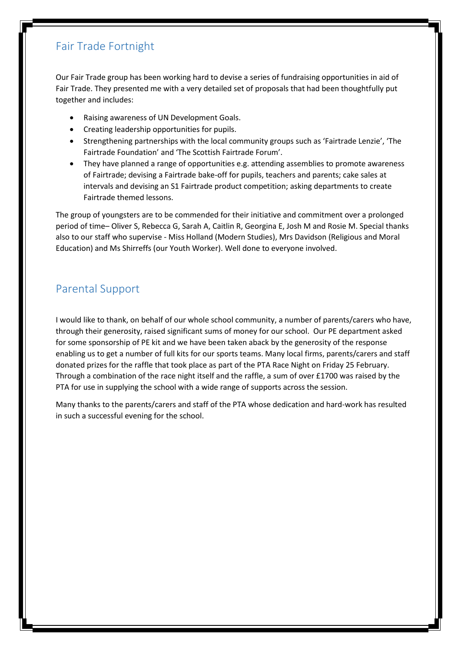# <span id="page-2-0"></span>Fair Trade Fortnight

Our Fair Trade group has been working hard to devise a series of fundraising opportunities in aid of Fair Trade. They presented me with a very detailed set of proposals that had been thoughtfully put together and includes:

- Raising awareness of UN Development Goals.
- Creating leadership opportunities for pupils.
- Strengthening partnerships with the local community groups such as 'Fairtrade Lenzie', 'The Fairtrade Foundation' and 'The Scottish Fairtrade Forum'.
- They have planned a range of opportunities e.g. attending assemblies to promote awareness of Fairtrade; devising a Fairtrade bake-off for pupils, teachers and parents; cake sales at intervals and devising an S1 Fairtrade product competition; asking departments to create Fairtrade themed lessons.

The group of youngsters are to be commended for their initiative and commitment over a prolonged period of time– Oliver S, Rebecca G, Sarah A, Caitlin R, Georgina E, Josh M and Rosie M. Special thanks also to our staff who supervise - Miss Holland (Modern Studies), Mrs Davidson (Religious and Moral Education) and Ms Shirreffs (our Youth Worker). Well done to everyone involved.

## <span id="page-2-1"></span>Parental Support

I would like to thank, on behalf of our whole school community, a number of parents/carers who have, through their generosity, raised significant sums of money for our school. Our PE department asked for some sponsorship of PE kit and we have been taken aback by the generosity of the response enabling us to get a number of full kits for our sports teams. Many local firms, parents/carers and staff donated prizes for the raffle that took place as part of the PTA Race Night on Friday 25 February. Through a combination of the race night itself and the raffle, a sum of over £1700 was raised by the PTA for use in supplying the school with a wide range of supports across the session.

Many thanks to the parents/carers and staff of the PTA whose dedication and hard-work has resulted in such a successful evening for the school.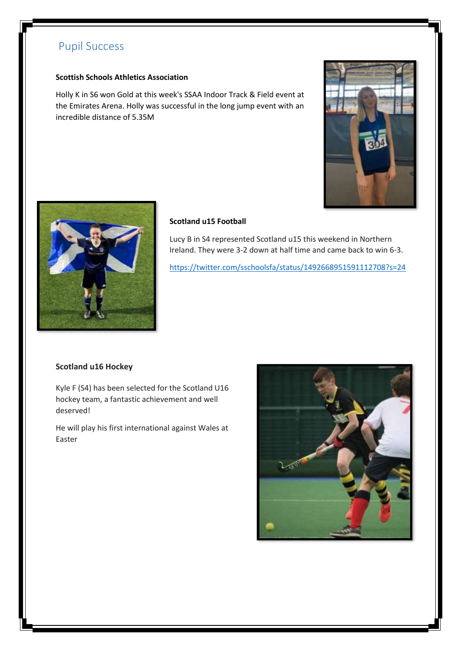# <span id="page-3-0"></span>Pupil Success

### **Scottish Schools Athletics Association**

Holly K in S6 won Gold at this week's SSAA Indoor Track & Field event at the Emirates Arena. Holly was successful in the long jump event with an incredible distance of 5.35M





### **Scotland u15 Football**

Lucy B in S4 represented Scotland u15 this weekend in Northern Ireland. They were 3-2 down at half time and came back to win 6-3.

<https://twitter.com/sschoolsfa/status/1492668951591112708?s=24>

#### **Scotland u16 Hockey**

Kyle F (S4) has been selected for the Scotland U16 hockey team, a fantastic achievement and well deserved!

He will play his first international against Wales at Easter

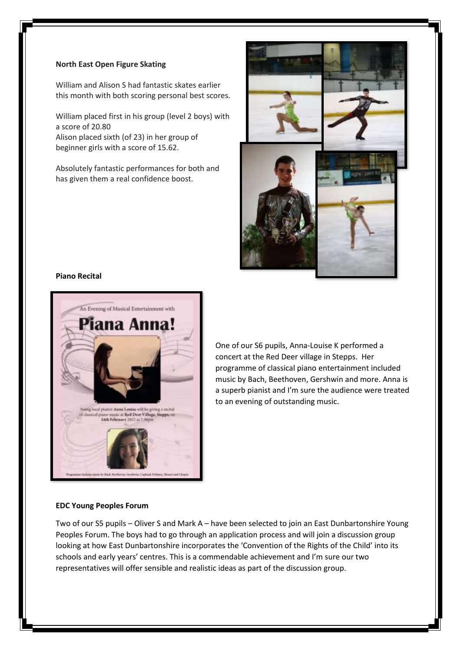#### **North East Open Figure Skating**

William and Alison S had fantastic skates earlier this month with both scoring personal best scores.

William placed first in his group (level 2 boys) with a score of 20.80 Alison placed sixth (of 23) in her group of beginner girls with a score of 15.62.

Absolutely fantastic performances for both and has given them a real confidence boost.



#### **Piano Recital**



One of our S6 pupils, Anna-Louise K performed a concert at the Red Deer village in Stepps. Her programme of classical piano entertainment included music by Bach, Beethoven, Gershwin and more. Anna is a superb pianist and I'm sure the audience were treated to an evening of outstanding music.

#### **EDC Young Peoples Forum**

Two of our S5 pupils – Oliver S and Mark A – have been selected to join an East Dunbartonshire Young Peoples Forum. The boys had to go through an application process and will join a discussion group looking at how East Dunbartonshire incorporates the 'Convention of the Rights of the Child' into its schools and early years' centres. This is a commendable achievement and I'm sure our two representatives will offer sensible and realistic ideas as part of the discussion group.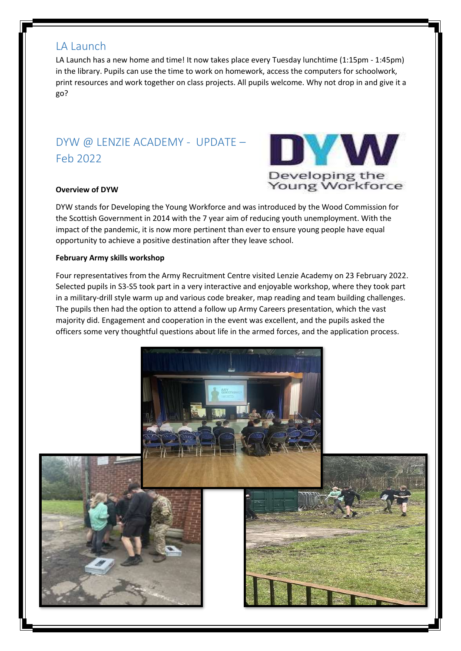### <span id="page-5-0"></span>LA Launch

LA Launch has a new home and time! It now takes place every Tuesday lunchtime (1:15pm - 1:45pm) in the library. Pupils can use the time to work on homework, access the computers for schoolwork, print resources and work together on class projects. All pupils welcome. Why not drop in and give it a go?

# <span id="page-5-1"></span>DYW @ LENZIE ACADEMY - UPDATE – Feb 2022

### **Overview of DYW**



DYW stands for Developing the Young Workforce and was introduced by the Wood Commission for the Scottish Government in 2014 with the 7 year aim of reducing youth unemployment. With the impact of the pandemic, it is now more pertinent than ever to ensure young people have equal opportunity to achieve a positive destination after they leave school.

### **February Army skills workshop**

Four representatives from the Army Recruitment Centre visited Lenzie Academy on 23 February 2022. Selected pupils in S3-S5 took part in a very interactive and enjoyable workshop, where they took part in a military-drill style warm up and various code breaker, map reading and team building challenges. The pupils then had the option to attend a follow up Army Careers presentation, which the vast majority did. Engagement and cooperation in the event was excellent, and the pupils asked the officers some very thoughtful questions about life in the armed forces, and the application process.

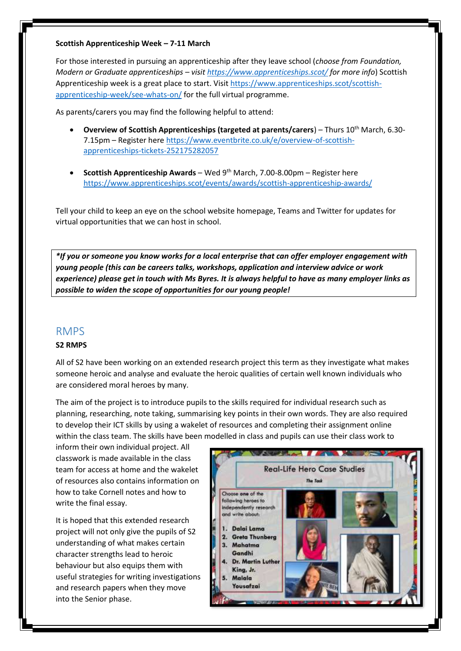#### **Scottish Apprenticeship Week – 7-11 March**

For those interested in pursuing an apprenticeship after they leave school (*choose from Foundation, Modern or Graduate apprenticeships – visi[t https://www.apprenticeships.scot/](https://www.apprenticeships.scot/) for more info*) Scottish Apprenticeship week is a great place to start. Visi[t https://www.apprenticeships.scot/scottish](https://www.apprenticeships.scot/scottish-apprenticeship-week/see-whats-on/)[apprenticeship-week/see-whats-on/](https://www.apprenticeships.scot/scottish-apprenticeship-week/see-whats-on/) for the full virtual programme.

As parents/carers you may find the following helpful to attend:

- **Overview of Scottish Apprenticeships (targeted at parents/carers) Thurs 10<sup>th</sup> March, 6.30-**7.15pm – Register her[e https://www.eventbrite.co.uk/e/overview-of-scottish](https://www.eventbrite.co.uk/e/overview-of-scottish-apprenticeships-tickets-252175282057)[apprenticeships-tickets-252175282057](https://www.eventbrite.co.uk/e/overview-of-scottish-apprenticeships-tickets-252175282057)
- **Scottish Apprenticeship Awards** Wed 9th March, 7.00-8.00pm Register here <https://www.apprenticeships.scot/events/awards/scottish-apprenticeship-awards/>

Tell your child to keep an eye on the school website homepage, Teams and Twitter for updates for virtual opportunities that we can host in school.

*\*If you or someone you know works for a local enterprise that can offer employer engagement with young people (this can be careers talks, workshops, application and interview advice or work experience) please get in touch with Ms Byres. It is always helpful to have as many employer links as possible to widen the scope of opportunities for our young people!*

### <span id="page-6-0"></span>RMPS

#### **S2 RMPS**

All of S2 have been working on an extended research project this term as they investigate what makes someone heroic and analyse and evaluate the heroic qualities of certain well known individuals who are considered moral heroes by many.

The aim of the project is to introduce pupils to the skills required for individual research such as planning, researching, note taking, summarising key points in their own words. They are also required to develop their ICT skills by using a wakelet of resources and completing their assignment online within the class team. The skills have been modelled in class and pupils can use their class work to

inform their own individual project. All classwork is made available in the class team for access at home and the wakelet of resources also contains information on how to take Cornell notes and how to write the final essay.

It is hoped that this extended research project will not only give the pupils of S2 understanding of what makes certain character strengths lead to heroic behaviour but also equips them with useful strategies for writing investigations and research papers when they move into the Senior phase.

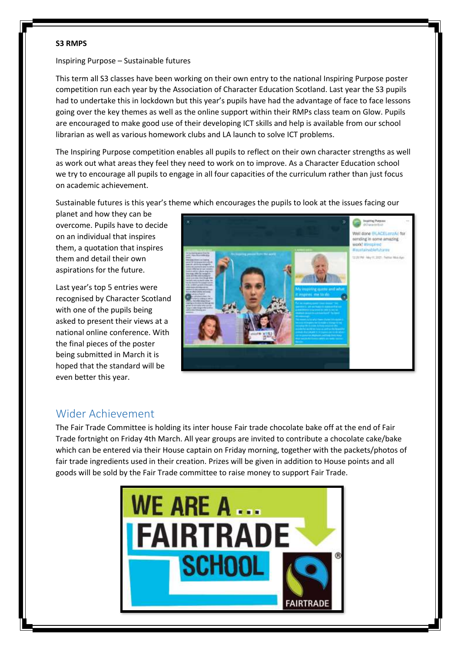#### **S3 RMPS**

Inspiring Purpose – Sustainable futures

This term all S3 classes have been working on their own entry to the national Inspiring Purpose poster competition run each year by the Association of Character Education Scotland. Last year the S3 pupils had to undertake this in lockdown but this year's pupils have had the advantage of face to face lessons going over the key themes as well as the online support within their RMPs class team on Glow. Pupils are encouraged to make good use of their developing ICT skills and help is available from our school librarian as well as various homework clubs and LA launch to solve ICT problems.

The Inspiring Purpose competition enables all pupils to reflect on their own character strengths as well as work out what areas they feel they need to work on to improve. As a Character Education school we try to encourage all pupils to engage in all four capacities of the curriculum rather than just focus on academic achievement.

Sustainable futures is this year's theme which encourages the pupils to look at the issues facing our

planet and how they can be overcome. Pupils have to decide on an individual that inspires them, a quotation that inspires them and detail their own aspirations for the future.

Last year's top 5 entries were recognised by Character Scotland with one of the pupils being asked to present their views at a national online conference. With the final pieces of the poster being submitted in March it is hoped that the standard will be even better this year.



## <span id="page-7-0"></span>Wider Achievement

The Fair Trade Committee is holding its inter house Fair trade chocolate bake off at the end of Fair Trade fortnight on Friday 4th March. All year groups are invited to contribute a chocolate cake/bake which can be entered via their House captain on Friday morning, together with the packets/photos of fair trade ingredients used in their creation. Prizes will be given in addition to House points and all goods will be sold by the Fair Trade committee to raise money to support Fair Trade.